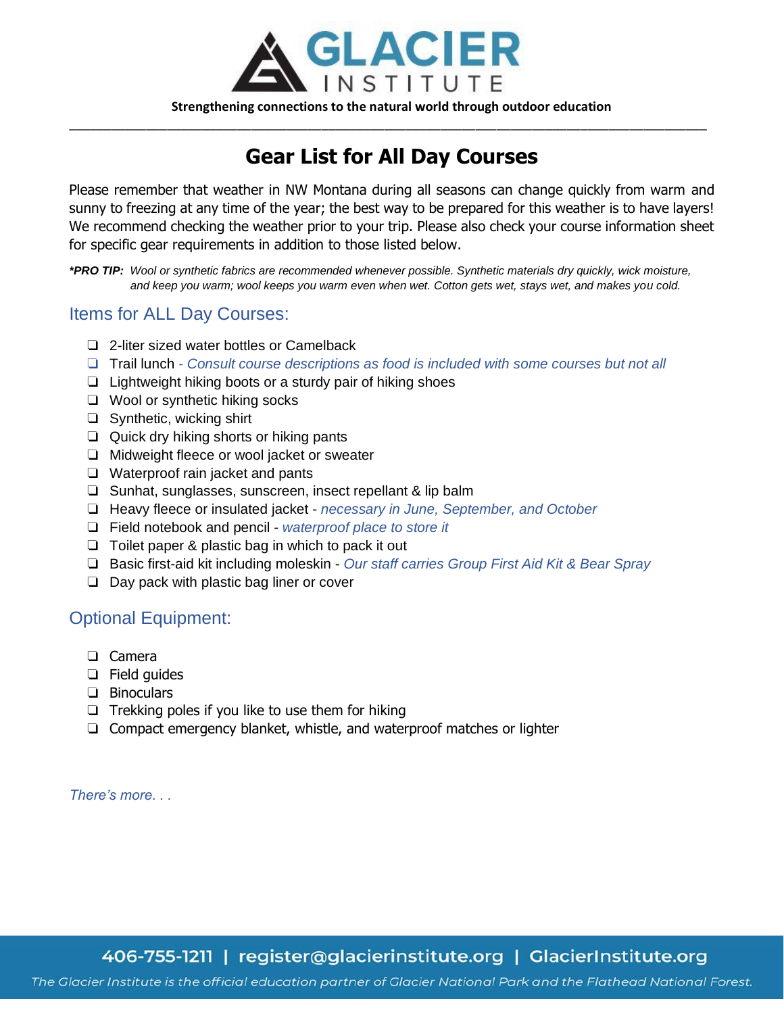

## **Gear List for All Day Courses**

\_\_\_\_\_\_\_\_\_\_\_\_\_\_\_\_\_\_\_\_\_\_\_\_\_\_\_\_\_\_\_\_\_\_\_\_\_\_\_\_\_\_\_\_\_\_\_\_\_\_\_\_\_\_\_\_\_\_\_\_\_\_\_\_\_\_\_\_\_\_\_\_\_\_\_\_\_\_\_\_\_\_\_\_\_\_\_\_\_\_\_

Please remember that weather in NW Montana during all seasons can change quickly from warm and sunny to freezing at any time of the year; the best way to be prepared for this weather is to have layers! We recommend checking the weather prior to your trip. Please also check your course information sheet for specific gear requirements in addition to those listed below.

*\*PRO TIP: Wool or synthetic fabrics are recommended whenever possible. Synthetic materials dry quickly, wick moisture, and keep you warm; wool keeps you warm even when wet. Cotton gets wet, stays wet, and makes you cold.* 

#### Items for ALL Day Courses:

- ❏ 2-liter sized water bottles or Camelback
- ❏ Trail lunch *Consult course descriptions as food is included with some courses but not all*
- ❏ Lightweight hiking boots or a sturdy pair of hiking shoes
- ❏ Wool or synthetic hiking socks
- ❏ Synthetic, wicking shirt
- ❏ Quick dry hiking shorts or hiking pants
- ❏ Midweight fleece or wool jacket or sweater
- ❏ Waterproof rain jacket and pants
- ❏ Sunhat, sunglasses, sunscreen, insect repellant & lip balm
- ❏ Heavy fleece or insulated jacket *necessary in June, September, and October*
- ❏ Field notebook and pencil *waterproof place to store it*
- ❏ Toilet paper & plastic bag in which to pack it out
- ❏ Basic first-aid kit including moleskin *Our staff carries Group First Aid Kit & Bear Spray*
- ❏ Day pack with plastic bag liner or cover

### Optional Equipment:

- ❏ Camera
- ❏ Field guides
- ❏ Binoculars
- ❏ Trekking poles if you like to use them for hiking
- ❏ Compact emergency blanket, whistle, and waterproof matches or lighter

*There's more. . .* 

406-755-1211 | register@glacierinstitute.org | GlacierInstitute.org

The Glacier Institute is the official education partner of Glacier National Park and the Flathead National Forest.